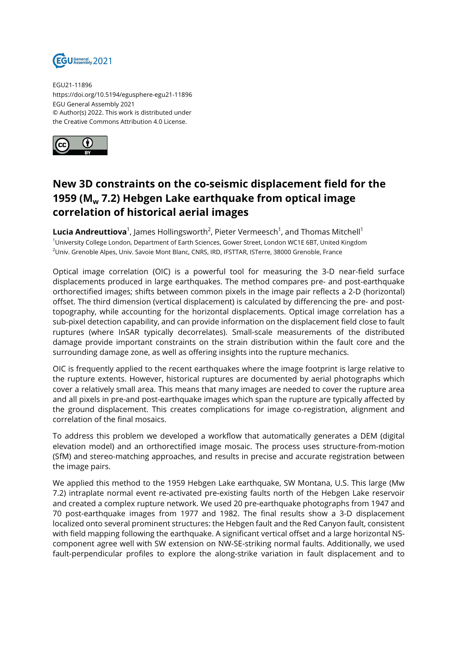

EGU21-11896 https://doi.org/10.5194/egusphere-egu21-11896 EGU General Assembly 2021 © Author(s) 2022. This work is distributed under the Creative Commons Attribution 4.0 License.



## **New 3D constraints on the co-seismic displacement field for the 1959 (Mw 7.2) Hebgen Lake earthquake from optical image correlation of historical aerial images**

 $\boldsymbol{\mathsf{Lucia}}$  <code>Andreuttiova $^1$ ,</code> James Hollingsworth $^2$ , Pieter Vermeesch $^1$ , and Thomas Mitchell $^1$ <sup>1</sup>University College London, Department of Earth Sciences, Gower Street, London WC1E 6BT, United Kingdom <sup>2</sup>Univ. Grenoble Alpes, Univ. Savoie Mont Blanc, CNRS, IRD, IFSTTAR, ISTerre, 38000 Grenoble, France

Optical image correlation (OIC) is a powerful tool for measuring the 3-D near-field surface displacements produced in large earthquakes. The method compares pre- and post-earthquake orthorectified images; shifts between common pixels in the image pair reflects a 2-D (horizontal) offset. The third dimension (vertical displacement) is calculated by differencing the pre- and posttopography, while accounting for the horizontal displacements. Optical image correlation has a sub-pixel detection capability, and can provide information on the displacement field close to fault ruptures (where InSAR typically decorrelates). Small-scale measurements of the distributed damage provide important constraints on the strain distribution within the fault core and the surrounding damage zone, as well as offering insights into the rupture mechanics.

OIC is frequently applied to the recent earthquakes where the image footprint is large relative to the rupture extents. However, historical ruptures are documented by aerial photographs which cover a relatively small area. This means that many images are needed to cover the rupture area and all pixels in pre-and post-earthquake images which span the rupture are typically affected by the ground displacement. This creates complications for image co-registration, alignment and correlation of the final mosaics.

To address this problem we developed a workflow that automatically generates a DEM (digital elevation model) and an orthorectified image mosaic. The process uses structure-from-motion (SfM) and stereo-matching approaches, and results in precise and accurate registration between the image pairs.

We applied this method to the 1959 Hebgen Lake earthquake, SW Montana, U.S. This large (Mw 7.2) intraplate normal event re-activated pre-existing faults north of the Hebgen Lake reservoir and created a complex rupture network. We used 20 pre-earthquake photographs from 1947 and 70 post-earthquake images from 1977 and 1982. The final results show a 3-D displacement localized onto several prominent structures: the Hebgen fault and the Red Canyon fault, consistent with field mapping following the earthquake. A significant vertical offset and a large horizontal NScomponent agree well with SW extension on NW-SE-striking normal faults. Additionally, we used fault-perpendicular profiles to explore the along-strike variation in fault displacement and to